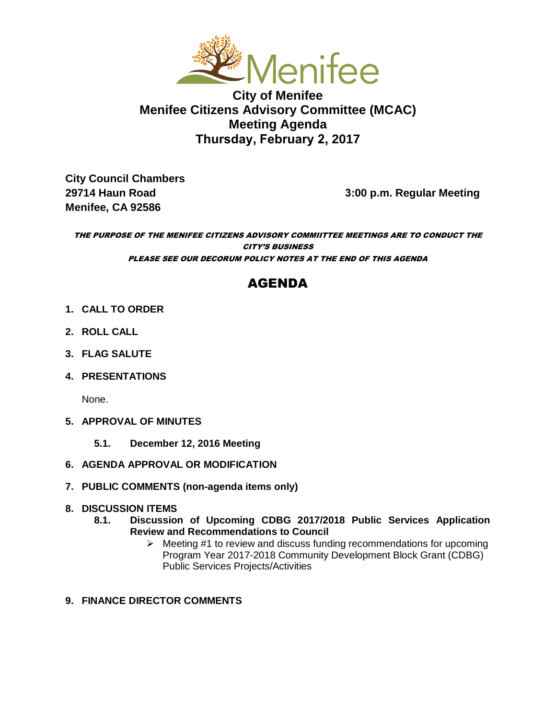

**City of Menifee Menifee Citizens Advisory Committee (MCAC) Meeting Agenda Thursday, February 2, 2017** 

**City Council Chambers Menifee, CA 92586** 

**29714 Haun Road 3:00 p.m. Regular Meeting** 

#### THE PURPOSE OF THE MENIFEE CITIZENS ADVISORY COMMIITTEE MEETINGS ARE TO CONDUCT THE CITY'S BUSINESS PLEASE SEE OUR DECORUM POLICY NOTES AT THE END OF THIS AGENDA

# AGENDA

- **1. CALL TO ORDER**
- **2. ROLL CALL**
- **3. FLAG SALUTE**
- **4. PRESENTATIONS**

None.

- **5. APPROVAL OF MINUTES**
	- **5.1. December 12, 2016 Meeting**
- **6. AGENDA APPROVAL OR MODIFICATION**
- **7. PUBLIC COMMENTS (non-agenda items only)**

## **8. DISCUSSION ITEMS**

- **8.1. Discussion of Upcoming CDBG 2017/2018 Public Services Application Review and Recommendations to Council** 
	- $\triangleright$  Meeting #1 to review and discuss funding recommendations for upcoming Program Year 2017-2018 Community Development Block Grant (CDBG) Public Services Projects/Activities
- **9. FINANCE DIRECTOR COMMENTS**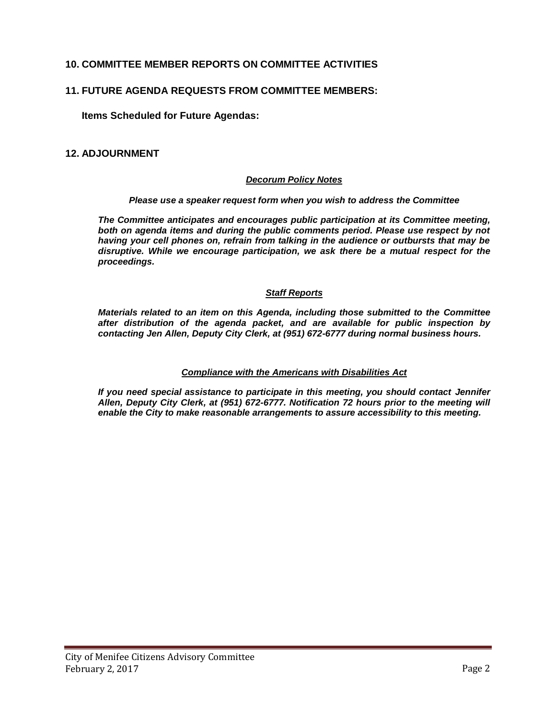# **10. COMMITTEE MEMBER REPORTS ON COMMITTEE ACTIVITIES**

#### **11. FUTURE AGENDA REQUESTS FROM COMMITTEE MEMBERS:**

**Items Scheduled for Future Agendas:** 

#### **12. ADJOURNMENT**

#### *Decorum Policy Notes*

#### *Please use a speaker request form when you wish to address the Committee*

*The Committee anticipates and encourages public participation at its Committee meeting, both on agenda items and during the public comments period. Please use respect by not having your cell phones on, refrain from talking in the audience or outbursts that may be disruptive. While we encourage participation, we ask there be a mutual respect for the proceedings.* 

#### *Staff Reports*

*Materials related to an item on this Agenda, including those submitted to the Committee after distribution of the agenda packet, and are available for public inspection by contacting Jen Allen, Deputy City Clerk, at (951) 672-6777 during normal business hours.* 

#### *Compliance with the Americans with Disabilities Act*

*If you need special assistance to participate in this meeting, you should contact Jennifer Allen, Deputy City Clerk, at (951) 672-6777. Notification 72 hours prior to the meeting will enable the City to make reasonable arrangements to assure accessibility to this meeting.*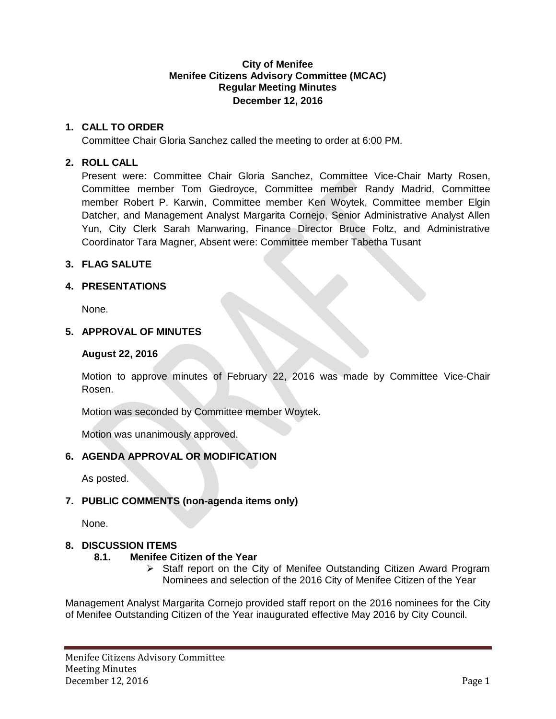#### **City of Menifee Menifee Citizens Advisory Committee (MCAC) Regular Meeting Minutes December 12, 2016**

## **1. CALL TO ORDER**

Committee Chair Gloria Sanchez called the meeting to order at 6:00 PM.

# **2. ROLL CALL**

Present were: Committee Chair Gloria Sanchez, Committee Vice-Chair Marty Rosen, Committee member Tom Giedroyce, Committee member Randy Madrid, Committee member Robert P. Karwin, Committee member Ken Woytek, Committee member Elgin Datcher, and Management Analyst Margarita Cornejo, Senior Administrative Analyst Allen Yun, City Clerk Sarah Manwaring, Finance Director Bruce Foltz, and Administrative Coordinator Tara Magner, Absent were: Committee member Tabetha Tusant

# **3. FLAG SALUTE**

# **4. PRESENTATIONS**

None.

# **5. APPROVAL OF MINUTES**

# **August 22, 2016**

Motion to approve minutes of February 22, 2016 was made by Committee Vice-Chair Rosen.

Motion was seconded by Committee member Woytek.

Motion was unanimously approved.

# **6. AGENDA APPROVAL OR MODIFICATION**

As posted.

# **7. PUBLIC COMMENTS (non-agenda items only)**

None.

## **8. DISCUSSION ITEMS**

## **8.1. Menifee Citizen of the Year**

 $\triangleright$  Staff report on the City of Menifee Outstanding Citizen Award Program Nominees and selection of the 2016 City of Menifee Citizen of the Year

Management Analyst Margarita Cornejo provided staff report on the 2016 nominees for the City of Menifee Outstanding Citizen of the Year inaugurated effective May 2016 by City Council.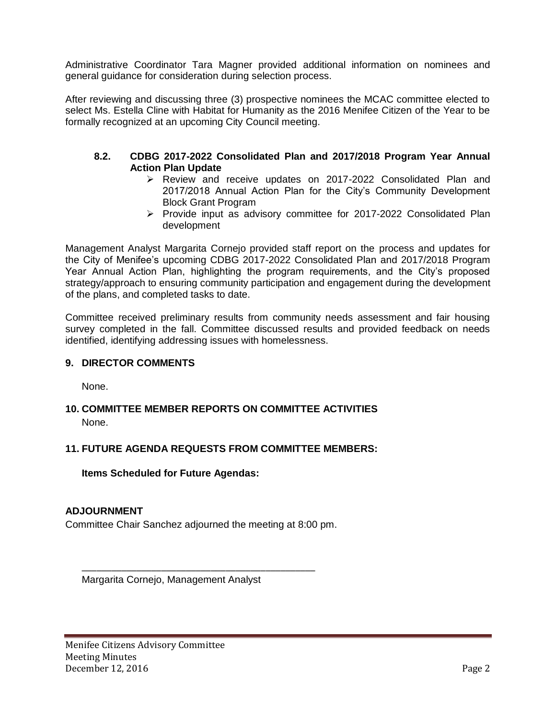Administrative Coordinator Tara Magner provided additional information on nominees and general guidance for consideration during selection process.

After reviewing and discussing three (3) prospective nominees the MCAC committee elected to select Ms. Estella Cline with Habitat for Humanity as the 2016 Menifee Citizen of the Year to be formally recognized at an upcoming City Council meeting.

## **8.2. CDBG 2017-2022 Consolidated Plan and 2017/2018 Program Year Annual Action Plan Update**

- Review and receive updates on 2017-2022 Consolidated Plan and 2017/2018 Annual Action Plan for the City's Community Development Block Grant Program
- $\triangleright$  Provide input as advisory committee for 2017-2022 Consolidated Plan development

Management Analyst Margarita Cornejo provided staff report on the process and updates for the City of Menifee's upcoming CDBG 2017-2022 Consolidated Plan and 2017/2018 Program Year Annual Action Plan, highlighting the program requirements, and the City's proposed strategy/approach to ensuring community participation and engagement during the development of the plans, and completed tasks to date.

Committee received preliminary results from community needs assessment and fair housing survey completed in the fall. Committee discussed results and provided feedback on needs identified, identifying addressing issues with homelessness.

## **9. DIRECTOR COMMENTS**

None.

# **10. COMMITTEE MEMBER REPORTS ON COMMITTEE ACTIVITIES** None.

## **11. FUTURE AGENDA REQUESTS FROM COMMITTEE MEMBERS:**

## **Items Scheduled for Future Agendas:**

## **ADJOURNMENT**

Committee Chair Sanchez adjourned the meeting at 8:00 pm.

\_\_\_\_\_\_\_\_\_\_\_\_\_\_\_\_\_\_\_\_\_\_\_\_\_\_\_\_\_\_\_\_\_\_\_\_\_\_\_\_\_\_\_\_\_\_\_

Margarita Cornejo, Management Analyst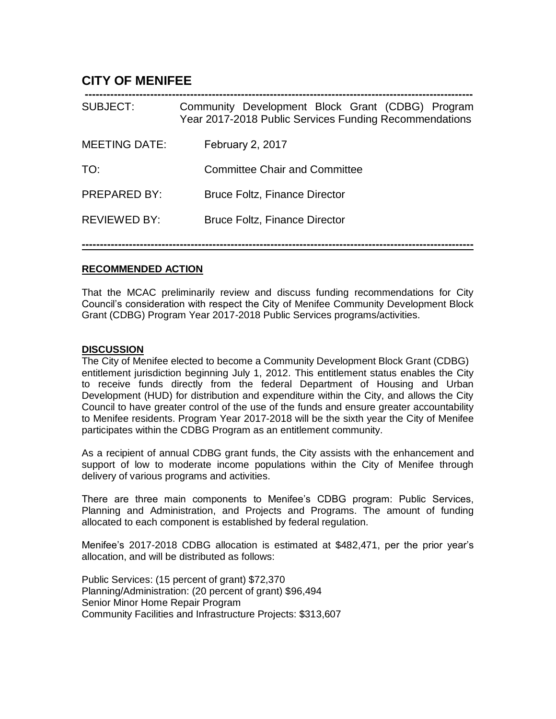# **CITY OF MENIFEE**

| SUBJECT:             | Community Development Block Grant (CDBG) Program<br>Year 2017-2018 Public Services Funding Recommendations |  |  |  |
|----------------------|------------------------------------------------------------------------------------------------------------|--|--|--|
| <b>MEETING DATE:</b> | February 2, 2017                                                                                           |  |  |  |
| TO:                  | <b>Committee Chair and Committee</b>                                                                       |  |  |  |
| PREPARED BY:         | <b>Bruce Foltz, Finance Director</b>                                                                       |  |  |  |
| <b>REVIEWED BY:</b>  | <b>Bruce Foltz, Finance Director</b>                                                                       |  |  |  |
|                      |                                                                                                            |  |  |  |

## **RECOMMENDED ACTION**

That the MCAC preliminarily review and discuss funding recommendations for City Council's consideration with respect the City of Menifee Community Development Block Grant (CDBG) Program Year 2017-2018 Public Services programs/activities.

#### **DISCUSSION**

The City of Menifee elected to become a Community Development Block Grant (CDBG) entitlement jurisdiction beginning July 1, 2012. This entitlement status enables the City to receive funds directly from the federal Department of Housing and Urban Development (HUD) for distribution and expenditure within the City, and allows the City Council to have greater control of the use of the funds and ensure greater accountability to Menifee residents. Program Year 2017-2018 will be the sixth year the City of Menifee participates within the CDBG Program as an entitlement community.

As a recipient of annual CDBG grant funds, the City assists with the enhancement and support of low to moderate income populations within the City of Menifee through delivery of various programs and activities.

There are three main components to Menifee's CDBG program: Public Services, Planning and Administration, and Projects and Programs. The amount of funding allocated to each component is established by federal regulation.

Menifee's 2017-2018 CDBG allocation is estimated at \$482,471, per the prior year's allocation, and will be distributed as follows:

Public Services: (15 percent of grant) \$72,370 Planning/Administration: (20 percent of grant) \$96,494 Senior Minor Home Repair Program Community Facilities and Infrastructure Projects: \$313,607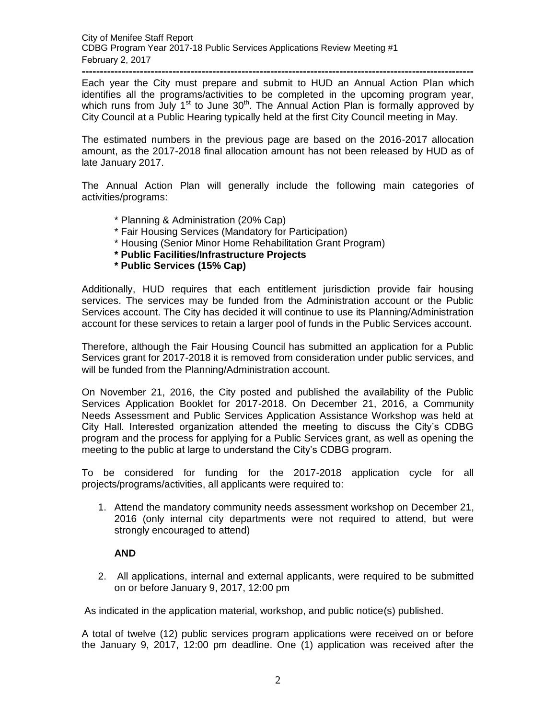**------------------------------------------------------------------------------------------------------------** Each year the City must prepare and submit to HUD an Annual Action Plan which identifies all the programs/activities to be completed in the upcoming program year, which runs from July  $1<sup>st</sup>$  to June  $30<sup>th</sup>$ . The Annual Action Plan is formally approved by City Council at a Public Hearing typically held at the first City Council meeting in May.

The estimated numbers in the previous page are based on the 2016-2017 allocation amount, as the 2017-2018 final allocation amount has not been released by HUD as of late January 2017.

The Annual Action Plan will generally include the following main categories of activities/programs:

- \* Planning & Administration (20% Cap)
- \* Fair Housing Services (Mandatory for Participation)
- \* Housing (Senior Minor Home Rehabilitation Grant Program)
- **\* Public Facilities/Infrastructure Projects**
- **\* Public Services (15% Cap)**

Additionally, HUD requires that each entitlement jurisdiction provide fair housing services. The services may be funded from the Administration account or the Public Services account. The City has decided it will continue to use its Planning/Administration account for these services to retain a larger pool of funds in the Public Services account.

Therefore, although the Fair Housing Council has submitted an application for a Public Services grant for 2017-2018 it is removed from consideration under public services, and will be funded from the Planning/Administration account.

On November 21, 2016, the City posted and published the availability of the Public Services Application Booklet for 2017-2018. On December 21, 2016, a Community Needs Assessment and Public Services Application Assistance Workshop was held at City Hall. Interested organization attended the meeting to discuss the City's CDBG program and the process for applying for a Public Services grant, as well as opening the meeting to the public at large to understand the City's CDBG program.

To be considered for funding for the 2017-2018 application cycle for all projects/programs/activities, all applicants were required to:

1. Attend the mandatory community needs assessment workshop on December 21, 2016 (only internal city departments were not required to attend, but were strongly encouraged to attend)

## **AND**

2. All applications, internal and external applicants, were required to be submitted on or before January 9, 2017, 12:00 pm

As indicated in the application material, workshop, and public notice(s) published.

A total of twelve (12) public services program applications were received on or before the January 9, 2017, 12:00 pm deadline. One (1) application was received after the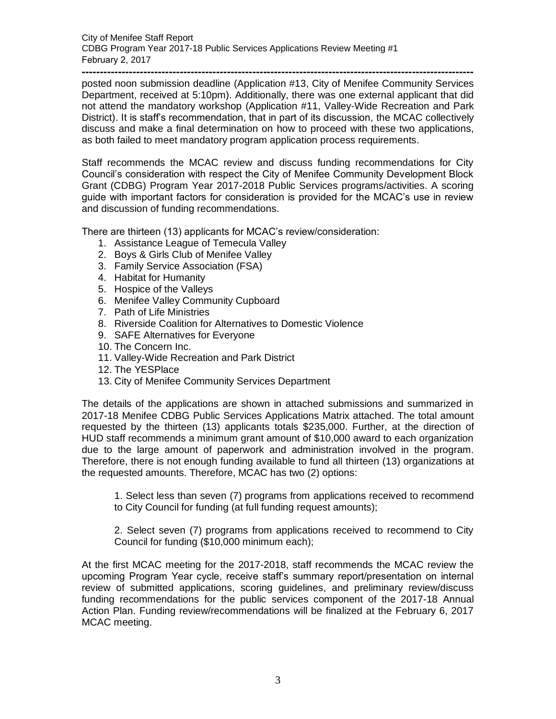**-----------------------------------------------------------------------------------------------------------** posted noon submission deadline (Application #13, City of Menifee Community Services Department, received at 5:10pm). Additionally, there was one external applicant that did not attend the mandatory workshop (Application #11, Valley-Wide Recreation and Park District). It is staff's recommendation, that in part of its discussion, the MCAC collectively discuss and make a final determination on how to proceed with these two applications, as both failed to meet mandatory program application process requirements.

Staff recommends the MCAC review and discuss funding recommendations for City Council's consideration with respect the City of Menifee Community Development Block Grant (CDBG) Program Year 2017-2018 Public Services programs/activities. A scoring guide with important factors for consideration is provided for the MCAC's use in review and discussion of funding recommendations.

There are thirteen (13) applicants for MCAC's review/consideration:

- 1. Assistance League of Temecula Valley
- 2. Boys & Girls Club of Menifee Valley
- 3. Family Service Association (FSA)
- 4. Habitat for Humanity
- 5. Hospice of the Valleys
- 6. Menifee Valley Community Cupboard
- 7. Path of Life Ministries
- 8. Riverside Coalition for Alternatives to Domestic Violence
- 9. SAFE Alternatives for Everyone
- 10. The Concern Inc.
- 11. Valley-Wide Recreation and Park District
- 12. The YESPlace
- 13. City of Menifee Community Services Department

The details of the applications are shown in attached submissions and summarized in 2017-18 Menifee CDBG Public Services Applications Matrix attached. The total amount requested by the thirteen (13) applicants totals \$235,000. Further, at the direction of HUD staff recommends a minimum grant amount of \$10,000 award to each organization due to the large amount of paperwork and administration involved in the program. Therefore, there is not enough funding available to fund all thirteen (13) organizations at the requested amounts. Therefore, MCAC has two (2) options:

1. Select less than seven (7) programs from applications received to recommend to City Council for funding (at full funding request amounts);

2. Select seven (7) programs from applications received to recommend to City Council for funding (\$10,000 minimum each);

At the first MCAC meeting for the 2017-2018, staff recommends the MCAC review the upcoming Program Year cycle, receive staff's summary report/presentation on internal review of submitted applications, scoring guidelines, and preliminary review/discuss funding recommendations for the public services component of the 2017-18 Annual Action Plan. Funding review/recommendations will be finalized at the February 6, 2017 MCAC meeting.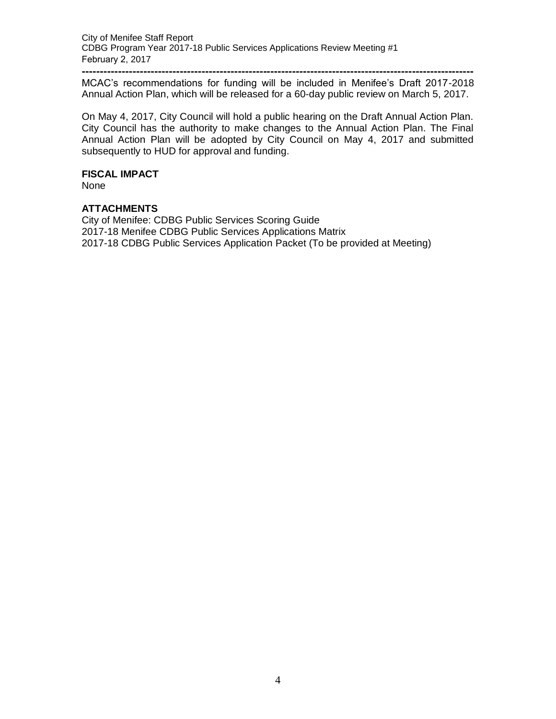**------------------------------------------------------------------------------------------------------------** MCAC's recommendations for funding will be included in Menifee's Draft 2017-2018 Annual Action Plan, which will be released for a 60-day public review on March 5, 2017.

On May 4, 2017, City Council will hold a public hearing on the Draft Annual Action Plan. City Council has the authority to make changes to the Annual Action Plan. The Final Annual Action Plan will be adopted by City Council on May 4, 2017 and submitted subsequently to HUD for approval and funding.

#### **FISCAL IMPACT**

None

#### **ATTACHMENTS**

City of Menifee: CDBG Public Services Scoring Guide 2017-18 Menifee CDBG Public Services Applications Matrix 2017-18 CDBG Public Services Application Packet (To be provided at Meeting)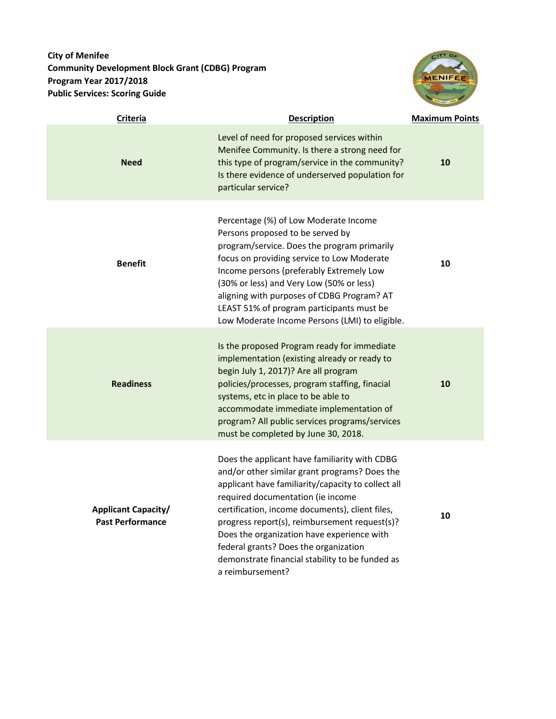# **City of Menifee Community Development Block Grant (CDBG) Program Program Year 2017/2018 Public Services: Scoring Guide**



| <b>Criteria</b>                                       | <b>Description</b>                                                                                                                                                                                                                                                                                                                                                                                                                                          | <b>Maximum Points</b> |
|-------------------------------------------------------|-------------------------------------------------------------------------------------------------------------------------------------------------------------------------------------------------------------------------------------------------------------------------------------------------------------------------------------------------------------------------------------------------------------------------------------------------------------|-----------------------|
| <b>Need</b>                                           | Level of need for proposed services within<br>Menifee Community. Is there a strong need for<br>this type of program/service in the community?<br>Is there evidence of underserved population for<br>particular service?                                                                                                                                                                                                                                     | 10                    |
| <b>Benefit</b>                                        | Percentage (%) of Low Moderate Income<br>Persons proposed to be served by<br>program/service. Does the program primarily<br>focus on providing service to Low Moderate<br>Income persons (preferably Extremely Low<br>(30% or less) and Very Low (50% or less)<br>aligning with purposes of CDBG Program? AT<br>LEAST 51% of program participants must be<br>Low Moderate Income Persons (LMI) to eligible.                                                 | 10                    |
| <b>Readiness</b>                                      | Is the proposed Program ready for immediate<br>implementation (existing already or ready to<br>begin July 1, 2017)? Are all program<br>policies/processes, program staffing, finacial<br>systems, etc in place to be able to<br>accommodate immediate implementation of<br>program? All public services programs/services<br>must be completed by June 30, 2018.                                                                                            | 10                    |
| <b>Applicant Capacity/</b><br><b>Past Performance</b> | Does the applicant have familiarity with CDBG<br>and/or other similar grant programs? Does the<br>applicant have familiarity/capacity to collect all<br>required documentation (ie income<br>certification, income documents), client files,<br>progress report(s), reimbursement request(s)?<br>Does the organization have experience with<br>federal grants? Does the organization<br>demonstrate financial stability to be funded as<br>a reimbursement? | 10                    |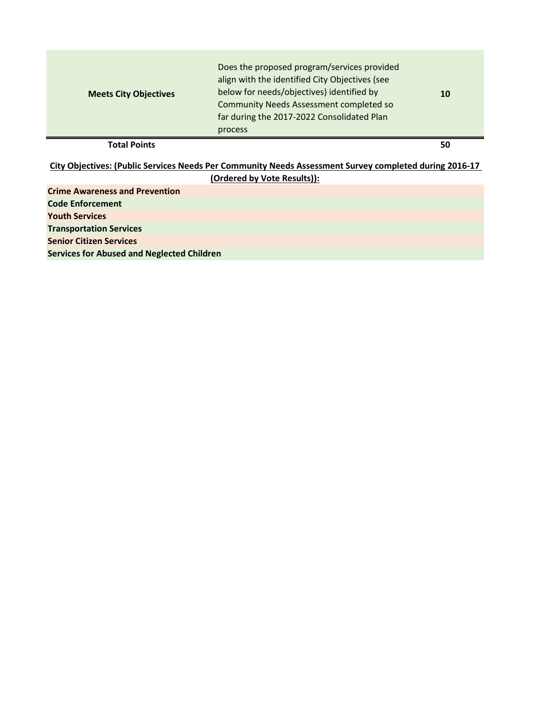| <b>Total Points</b><br>50 | <b>Meets City Objectives</b> | Does the proposed program/services provided<br>align with the identified City Objectives (see<br>below for needs/objectives) identified by<br><b>Community Needs Assessment completed so</b><br>far during the 2017-2022 Consolidated Plan<br>process | 10 |
|---------------------------|------------------------------|-------------------------------------------------------------------------------------------------------------------------------------------------------------------------------------------------------------------------------------------------------|----|
|---------------------------|------------------------------|-------------------------------------------------------------------------------------------------------------------------------------------------------------------------------------------------------------------------------------------------------|----|

**Crime Awareness and Prevention Code Enforcement Youth Services Transportation Services Senior Citizen Services Services for Abused and Neglected Children City Objectives: (Public Services Needs Per Community Needs Assessment Survey completed during 2016-17 (Ordered by Vote Results)):**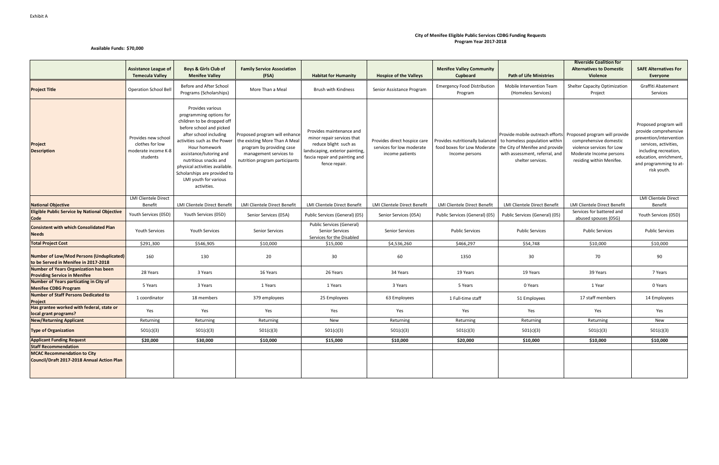#### Exhibit A

#### **Available Funds: \$70,000**

|                                                                                     | <b>Assistance League of</b><br><b>Temecula Valley</b>                     | <b>Boys &amp; Girls Club of</b><br><b>Menifee Valley</b>                                                                                                                                                                                                                                                                                       | <b>Family Service Association</b><br>(FSA)                                                                                                              | <b>Habitat for Humanity</b>                                                                                                                                           | <b>Hospice of the Valleys</b>                                                | <b>Menifee Valley Community</b><br>Cupboard                                      | <b>Path of Life Ministries</b>                                                                                                                             | <b>Riverside Coalition for</b><br><b>Alternatives to Domestic</b><br>Violence                                                               | <b>SAFE Alternatives For</b><br><b>Everyone</b>                                                                                                                                                |
|-------------------------------------------------------------------------------------|---------------------------------------------------------------------------|------------------------------------------------------------------------------------------------------------------------------------------------------------------------------------------------------------------------------------------------------------------------------------------------------------------------------------------------|---------------------------------------------------------------------------------------------------------------------------------------------------------|-----------------------------------------------------------------------------------------------------------------------------------------------------------------------|------------------------------------------------------------------------------|----------------------------------------------------------------------------------|------------------------------------------------------------------------------------------------------------------------------------------------------------|---------------------------------------------------------------------------------------------------------------------------------------------|------------------------------------------------------------------------------------------------------------------------------------------------------------------------------------------------|
| <b>Project Title</b>                                                                | <b>Operation School Bell</b>                                              | Before and After School<br>Programs (Scholarships)                                                                                                                                                                                                                                                                                             | More Than a Meal                                                                                                                                        | Brush with Kindness                                                                                                                                                   | Senior Assistance Program                                                    | <b>Emergency Food Distribution</b><br>Program                                    | Mobile Intervention Team<br>(Homeless Services)                                                                                                            | Shelter Capacity Optimization<br>Project                                                                                                    | Graffiti Abatement<br>Services                                                                                                                                                                 |
| Project<br><b>Description</b>                                                       | Provides new school<br>clothes for low<br>moderate income K-8<br>students | Provides various<br>programming options for<br>children to be dropped off<br>before school and picked<br>after school including<br>activities such as the Power<br>Hour homework<br>assistance/tutoring and<br>nutritious snacks and<br>physical activities available.<br>Scholarships are provided to<br>LMI youth for various<br>activities. | Proposed program will enhance<br>the existing More Than A Meal<br>program by providing case<br>management services to<br>nutrition program participants | Provides maintenance and<br>minor repair services that<br>reduce blight such as<br>landscaping, exterior painting,<br>fascia repair and painting and<br>fence repair. | Provides direct hospice care<br>services for low moderate<br>income patients | Provides nutritionally balanced<br>food boxes for Low Moderate<br>Income persons | Provide mobile outreach efforts<br>to homeless population within<br>the City of Menifee and provide<br>with assessment, referral, and<br>shelter services. | Proposed program will provide<br>comprehensive domestic<br>violence services for Low<br>Moderate Income persons<br>residing within Menifee. | Proposed program will<br>provide comprehensive<br>prevention/intervention<br>services, activities,<br>including recreation,<br>education, enrichment,<br>and programming to at-<br>risk youth. |
| <b>National Objective</b>                                                           | <b>LMI Clientele Direct</b><br>Benefit                                    | LMI Clientele Direct Benefit                                                                                                                                                                                                                                                                                                                   | LMI Clientele Direct Benefit                                                                                                                            | LMI Clientele Direct Benefit                                                                                                                                          | LMI Clientele Direct Benefit                                                 | LMI Clientele Direct Benefit                                                     | LMI Clientele Direct Benefit                                                                                                                               | LMI Clientele Direct Benefit                                                                                                                | <b>LMI Clientele Direct</b><br>Benefit                                                                                                                                                         |
| <b>Eligible Public Service by National Objective</b><br><b>Code</b>                 | Youth Services (05D)                                                      | Youth Services (05D)                                                                                                                                                                                                                                                                                                                           | Senior Services (05A)                                                                                                                                   | Public Services (General) (05)                                                                                                                                        | Senior Services (05A)                                                        | Public Services (General) (05)                                                   | Public Services (General) (05)                                                                                                                             | Services for battered and<br>abused spouses (05G)                                                                                           | Youth Services (05D)                                                                                                                                                                           |
| <b>Consistent with which Consolidated Plan</b><br><b>Needs</b>                      | <b>Youth Services</b>                                                     | Youth Services                                                                                                                                                                                                                                                                                                                                 | <b>Senior Services</b>                                                                                                                                  | Public Services (General)<br><b>Senior Services</b><br>Services for the Disabled                                                                                      | <b>Senior Services</b>                                                       | <b>Public Services</b>                                                           | <b>Public Services</b>                                                                                                                                     | <b>Public Services</b>                                                                                                                      | <b>Public Services</b>                                                                                                                                                                         |
| <b>Total Project Cost</b>                                                           | \$291,300                                                                 | \$546,905                                                                                                                                                                                                                                                                                                                                      | \$10,000                                                                                                                                                | \$15,000                                                                                                                                                              | \$4,536,260                                                                  | \$466,297                                                                        | \$54,748                                                                                                                                                   | \$10,000                                                                                                                                    | \$10,000                                                                                                                                                                                       |
| Number of Low/Mod Persons (Unduplicated)<br>to be Served in Menifee in 2017-2018    | 160                                                                       | 130                                                                                                                                                                                                                                                                                                                                            | 20                                                                                                                                                      | 30                                                                                                                                                                    | 60                                                                           | 1350                                                                             | 30                                                                                                                                                         | 70                                                                                                                                          | 90                                                                                                                                                                                             |
| <b>Number of Years Organization has been</b><br><b>Providing Service in Menifee</b> | 28 Years                                                                  | 3 Years                                                                                                                                                                                                                                                                                                                                        | 16 Years                                                                                                                                                | 26 Years                                                                                                                                                              | 34 Years                                                                     | 19 Years                                                                         | 19 Years                                                                                                                                                   | 39 Years                                                                                                                                    | 7 Years                                                                                                                                                                                        |
| Number of Years particating in City of<br><b>Menifee CDBG Program</b>               | 5 Years                                                                   | 3 Years                                                                                                                                                                                                                                                                                                                                        | 1 Years                                                                                                                                                 | 1 Years                                                                                                                                                               | 3 Years                                                                      | 5 Years                                                                          | 0 Years                                                                                                                                                    | 1 Year                                                                                                                                      | 0 Years                                                                                                                                                                                        |
| <b>Number of Staff Persons Dedicated to</b><br>Project                              | 1 coordinator                                                             | 18 members                                                                                                                                                                                                                                                                                                                                     | 379 employees                                                                                                                                           | 25 Employees                                                                                                                                                          | 63 Employees                                                                 | 1 Full-time staff                                                                | 51 Employees                                                                                                                                               | 17 staff members                                                                                                                            | 14 Employees                                                                                                                                                                                   |
| Has grantee worked with federal, state or<br>local grant programs?                  | Yes                                                                       | Yes                                                                                                                                                                                                                                                                                                                                            | Yes                                                                                                                                                     | Yes                                                                                                                                                                   | Yes                                                                          | Yes                                                                              | Yes                                                                                                                                                        | Yes                                                                                                                                         | Yes                                                                                                                                                                                            |
| <b>New/Returning Applicant</b>                                                      | Returning                                                                 | Returning                                                                                                                                                                                                                                                                                                                                      | Returning                                                                                                                                               | New                                                                                                                                                                   | Returning                                                                    | Returning                                                                        | Returning                                                                                                                                                  | Returning                                                                                                                                   | New                                                                                                                                                                                            |
| <b>Type of Organization</b>                                                         | 501(c)(3)                                                                 | 501(c)(3)                                                                                                                                                                                                                                                                                                                                      | 501(c)(3)                                                                                                                                               | 501(c)(3)                                                                                                                                                             | 501(c)(3)                                                                    | 501(c)(3)                                                                        | 501(c)(3)                                                                                                                                                  | 501(c)(3)                                                                                                                                   | 501(c)(3)                                                                                                                                                                                      |
| <b>Applicant Funding Request</b>                                                    | \$20,000                                                                  | \$30,000                                                                                                                                                                                                                                                                                                                                       | \$10,000                                                                                                                                                | \$15,000                                                                                                                                                              | \$10,000                                                                     | \$20,000                                                                         | \$10,000                                                                                                                                                   | \$10,000                                                                                                                                    | \$10,000                                                                                                                                                                                       |
| <b>Staff Recommendation</b>                                                         |                                                                           |                                                                                                                                                                                                                                                                                                                                                |                                                                                                                                                         |                                                                                                                                                                       |                                                                              |                                                                                  |                                                                                                                                                            |                                                                                                                                             |                                                                                                                                                                                                |
| <b>MCAC Recommendation to City</b><br>Council/Draft 2017-2018 Annual Action Plan    |                                                                           |                                                                                                                                                                                                                                                                                                                                                |                                                                                                                                                         |                                                                                                                                                                       |                                                                              |                                                                                  |                                                                                                                                                            |                                                                                                                                             |                                                                                                                                                                                                |

#### **City of Menifee Eligible Public Services CDBG Funding Requests Program Year 2017-2018**